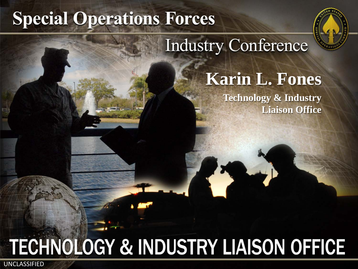# **Special Operations Forces**



## **Industry Conference**

## **Karin L. Fones**

**Technology & Industry Liaison Office** 

# **TECHNOLOGY & INDUSTRY LIAISON OFFICE**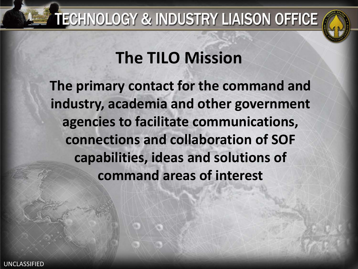## TECHNOLOGY & INDUSTRY LIAISON OFFICE



## **The TILO Mission**

**The primary contact for the command and industry, academia and other government agencies to facilitate communications, connections and collaboration of SOF capabilities, ideas and solutions of command areas of interest**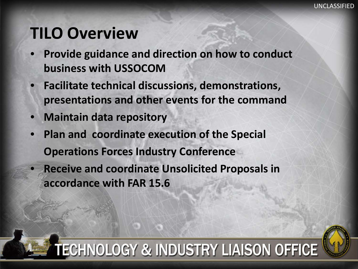#### **TILO Overview**

- **Provide guidance and direction on how to conduct business with USSOCOM**
- **Facilitate technical discussions, demonstrations, presentations and other events for the command**
- **Maintain data repository**

- **Plan and coordinate execution of the Special Operations Forces Industry Conference** 
	- **Receive and coordinate Unsolicited Proposals in accordance with FAR 15.6**

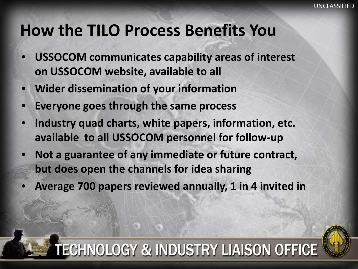#### **How the TILO Process Benefits You**

- **USSOCOM communicates capability areas of interest on USSOCOM website, available to all**
- **Wider dissemination of your information**
- **Everyone goes through the same process**

UNCLASSIFIED

- **Industry quad charts, white papers, information, etc. available to all USSOCOM personnel for follow-up**
- **Not a guarantee of any immediate or future contract, but does open the channels for idea sharing**
- **Average 700 papers reviewed annually, 1 in 4 invited in**

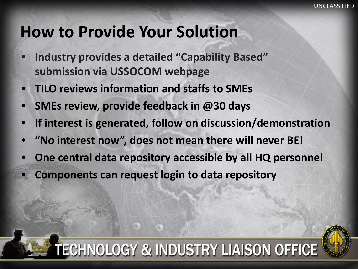#### **How to Provide Your Solution**

- **Industry provides a detailed "Capability Based" submission via USSOCOM webpage**
- **TILO reviews information and staffs to SMEs**
- **SMEs review, provide feedback in @30 days**
- **If interest is generated, follow on discussion/demonstration**
- **"No interest now", does not mean there will never BE!**
- **One central data repository accessible by all HQ personnel**
- **Components can request login to data repository**

UNCLASSIFIED

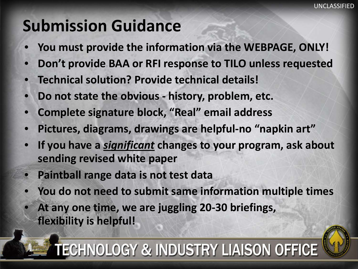### **Submission Guidance**

- **You must provide the information via the WEBPAGE, ONLY!**
- **Don't provide BAA or RFI response to TILO unless requested**
- **Technical solution? Provide technical details!**
- **Do not state the obvious - history, problem, etc.**
- **Complete signature block, "Real" email address**
- **Pictures, diagrams, drawings are helpful-no "napkin art"**
- **If you have a** *significant* **changes to your program, ask about sending revised white paper**
- **Paintball range data is not test data**

UNCLASSIFIED

- **You do not need to submit same information multiple times**
- **At any one time, we are juggling 20-30 briefings, flexibility is helpful!**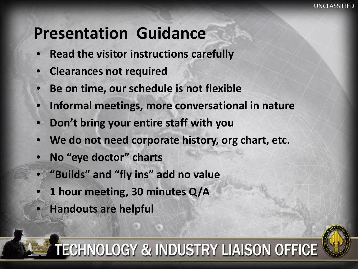#### **Presentation Guidance**

- **Read the visitor instructions carefully**
- **Clearances not required**
- **Be on time, our schedule is not flexible**
- **Informal meetings, more conversational in nature**
- **Don't bring your entire staff with you**
- **We do not need corporate history, org chart, etc.**
- **No "eye doctor" charts**
- **"Builds" and "fly ins" add no value**
- **1 hour meeting, 30 minutes Q/A**
- **Handouts are helpful**

UNCLASSIFIED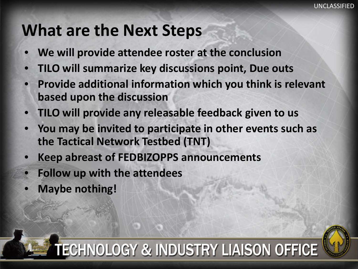#### **What are the Next Steps**

- **We will provide attendee roster at the conclusion**
- **TILO will summarize key discussions point, Due outs**
- **Provide additional information which you think is relevant based upon the discussion**
- **TILO will provide any releasable feedback given to us**
- **You may be invited to participate in other events such as the Tactical Network Testbed (TNT)**
- **Keep abreast of FEDBIZOPPS announcements**
- **Follow up with the attendees**
- **Maybe nothing!**

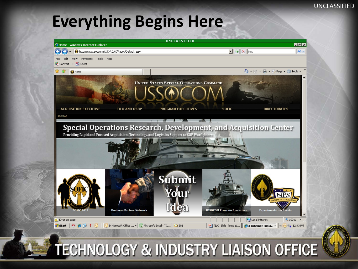#### **Everything Begins Here**